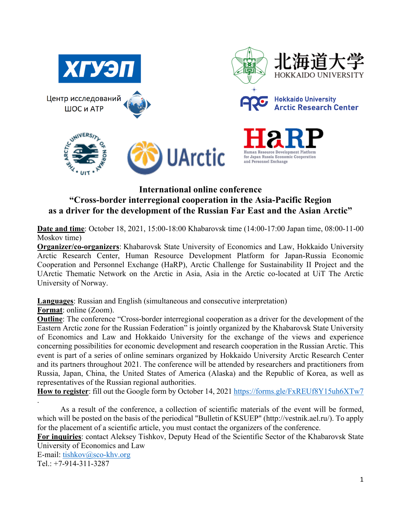

## **International online conference "Cross-border interregional cooperation in the Asia-Pacific Region as a driver for the development of the Russian Far East and the Asian Arctic"**

**Date and time**: October 18, 2021, 15:00-18:00 Khabarovsk time (14:00-17:00 Japan time, 08:00-11-00 Moskov time)

**Organizer/co-organizers**: Khabarovsk State University of Economics and Law, Hokkaido University Arctic Research Center, Human Resource Development Platform for Japan-Russia Economic Cooperation and Personnel Exchange (HaRP), Arctic Challenge for Sustainability II Project and the UArctic Thematic Network on the Arctic in Asia, Asia in the Arctic co-located at UiT The Arctic University of Norway.

**Languages**: Russian and English (simultaneous and consecutive interpretation) **Format**: online (Zoom).

**Outline**: The conference "Cross-border interregional cooperation as a driver for the development of the Eastern Arctic zone for the Russian Federation" is jointly organized by the Khabarovsk State University of Economics and Law and Hokkaido University for the exchange of the views and experience concerning possibilities for economic development and research cooperation in the Russian Arctic. This event is part of a series of online seminars organized by Hokkaido University Arctic Research Center and its partners throughout 2021. The conference will be attended by researchers and practitioners from Russia, Japan, China, the United States of America (Alaska) and the Republic of Korea, as well as representatives of the Russian regional authorities.

**How to register**: fill out the Google form by October 14, 2021 https://forms.gle/FxREUf8Y15uh6XTw7

As a result of the conference, a collection of scientific materials of the event will be formed, which will be posted on the basis of the periodical "Bulletin of KSUEP" (http://vestnik.ael.ru/). To apply for the placement of a scientific article, you must contact the organizers of the conference.

**For inquiries**: contact Aleksey Tishkov, Deputy Head of the Scientific Sector of the Khabarovsk State University of Economics and Law

E-mail: tishkov@sco-khv.org Tel.: +7-914-311-3287

.